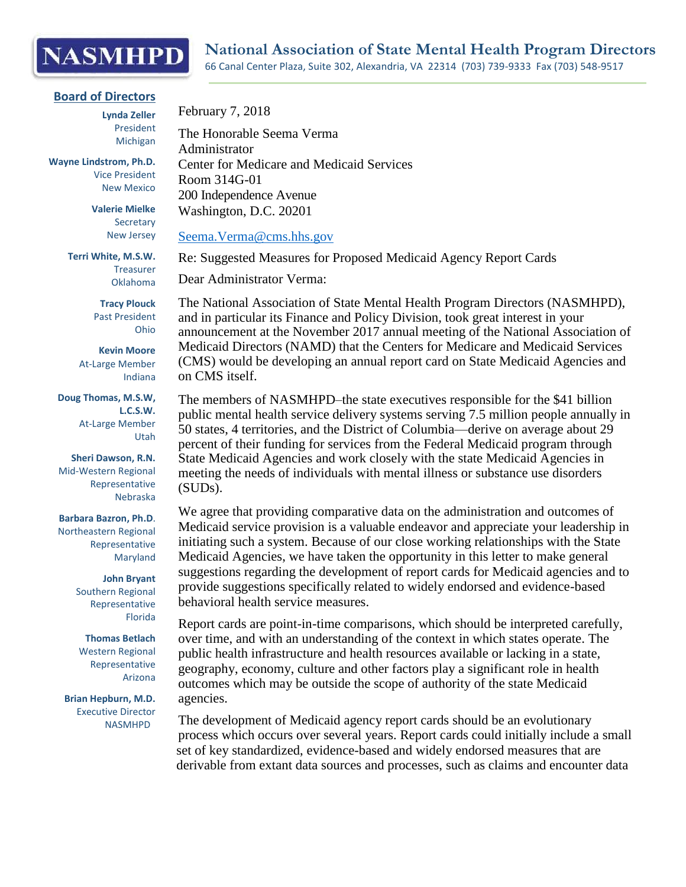## **NASMHPD**

## **Board of Directors**

**Lynda Zeller** President Michigan

**Wayne Lindstrom, Ph.D.** Vice President New Mexico

> **Valerie Mielke** Secretary New Jersey

**Terri White, M.S.W.**  Treasurer Oklahoma

> **Tracy Plouck** Past President Ohio

**Kevin Moore** At-Large Member Indiana

**Doug Thomas, M.S.W, L.C.S.W.** At-Large Member Utah

**Sheri Dawson, R.N.** Mid-Western Regional Representative Nebraska

**Barbara Bazron, Ph.D**. Northeastern Regional Representative Maryland

> **John Bryant** Southern Regional Representative Florida

**Thomas Betlach** Western Regional Representative Arizona

**Brian Hepburn, M.D.** Executive Director NASMHPD

February 7, 2018

The Honorable Seema Verma Administrator Center for Medicare and Medicaid Services Room 314G-01 200 Independence Avenue Washington, D.C. 20201

[Seema.Verma@cms.hhs.gov](mailto:Seema.Verma@cms.hhs.gov)

Re: Suggested Measures for Proposed Medicaid Agency Report Cards

Dear Administrator Verma:

The National Association of State Mental Health Program Directors (NASMHPD), and in particular its Finance and Policy Division, took great interest in your announcement at the November 2017 annual meeting of the National Association of Medicaid Directors (NAMD) that the Centers for Medicare and Medicaid Services (CMS) would be developing an annual report card on State Medicaid Agencies and on CMS itself.

The members of NASMHPD–the state executives responsible for the \$41 billion public mental health service delivery systems serving 7.5 million people annually in 50 states, 4 territories, and the District of Columbia—derive on average about 29 percent of their funding for services from the Federal Medicaid program through State Medicaid Agencies and work closely with the state Medicaid Agencies in meeting the needs of individuals with mental illness or substance use disorders (SUDs).

We agree that providing comparative data on the administration and outcomes of Medicaid service provision is a valuable endeavor and appreciate your leadership in initiating such a system. Because of our close working relationships with the State Medicaid Agencies, we have taken the opportunity in this letter to make general suggestions regarding the development of report cards for Medicaid agencies and to provide suggestions specifically related to widely endorsed and evidence-based behavioral health service measures.

Report cards are point-in-time comparisons, which should be interpreted carefully, over time, and with an understanding of the context in which states operate. The public health infrastructure and health resources available or lacking in a state, geography, economy, culture and other factors play a significant role in health outcomes which may be outside the scope of authority of the state Medicaid agencies.

The development of Medicaid agency report cards should be an evolutionary process which occurs over several years. Report cards could initially include a small set of key standardized, evidence-based and widely endorsed measures that are derivable from extant data sources and processes, such as claims and encounter data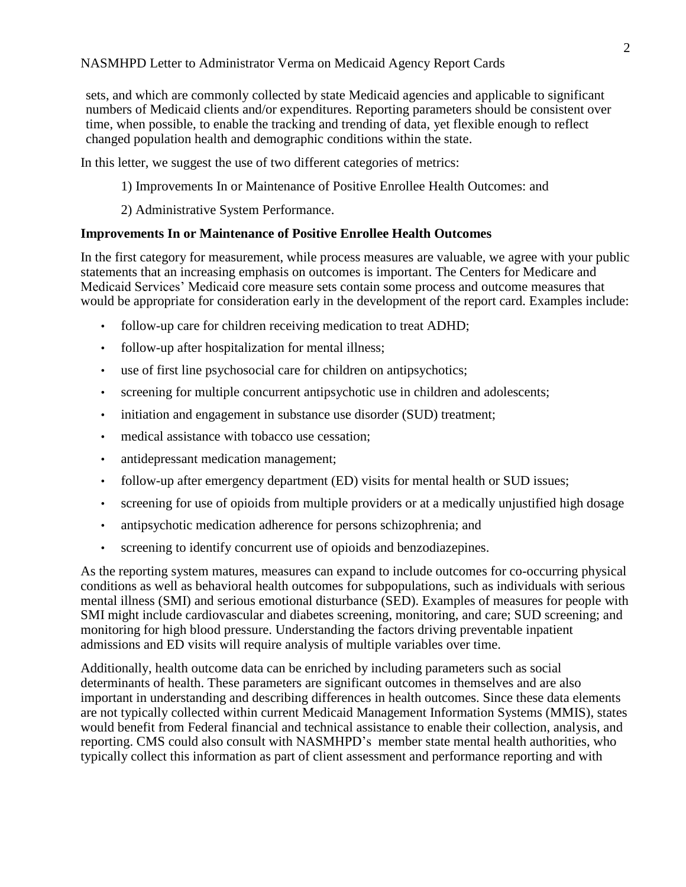sets, and which are commonly collected by state Medicaid agencies and applicable to significant numbers of Medicaid clients and/or expenditures. Reporting parameters should be consistent over time, when possible, to enable the tracking and trending of data, yet flexible enough to reflect changed population health and demographic conditions within the state.

In this letter, we suggest the use of two different categories of metrics:

- 1) Improvements In or Maintenance of Positive Enrollee Health Outcomes: and
- 2) Administrative System Performance.

## **Improvements In or Maintenance of Positive Enrollee Health Outcomes**

In the first category for measurement, while process measures are valuable, we agree with your public statements that an increasing emphasis on outcomes is important. The Centers for Medicare and Medicaid Services' Medicaid core measure sets contain some process and outcome measures that would be appropriate for consideration early in the development of the report card. Examples include:

- follow-up care for children receiving medication to treat ADHD;
- follow-up after hospitalization for mental illness;
- use of first line psychosocial care for children on antipsychotics;
- screening for multiple concurrent antipsychotic use in children and adolescents;
- initiation and engagement in substance use disorder (SUD) treatment;
- medical assistance with tobacco use cessation;
- antidepressant medication management;
- follow-up after emergency department (ED) visits for mental health or SUD issues;
- screening for use of opioids from multiple providers or at a medically unjustified high dosage
- antipsychotic medication adherence for persons schizophrenia; and
- screening to identify concurrent use of opioids and benzodiazepines.

As the reporting system matures, measures can expand to include outcomes for co-occurring physical conditions as well as behavioral health outcomes for subpopulations, such as individuals with serious mental illness (SMI) and serious emotional disturbance (SED). Examples of measures for people with SMI might include cardiovascular and diabetes screening, monitoring, and care; SUD screening; and monitoring for high blood pressure. Understanding the factors driving preventable inpatient admissions and ED visits will require analysis of multiple variables over time.

Additionally, health outcome data can be enriched by including parameters such as social determinants of health. These parameters are significant outcomes in themselves and are also important in understanding and describing differences in health outcomes. Since these data elements are not typically collected within current Medicaid Management Information Systems (MMIS), states would benefit from Federal financial and technical assistance to enable their collection, analysis, and reporting. CMS could also consult with NASMHPD's member state mental health authorities, who typically collect this information as part of client assessment and performance reporting and with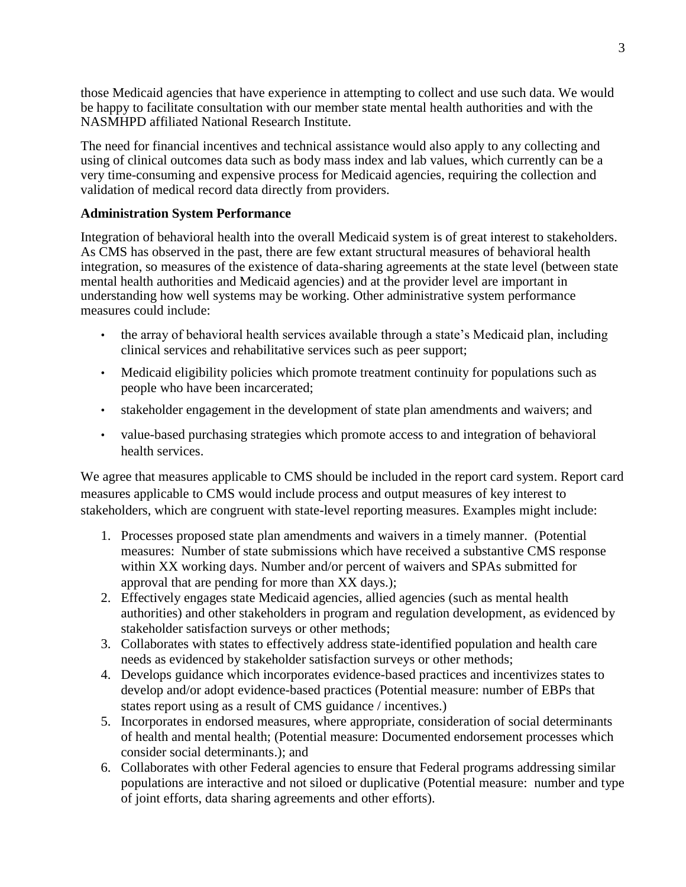those Medicaid agencies that have experience in attempting to collect and use such data. We would be happy to facilitate consultation with our member state mental health authorities and with the NASMHPD affiliated National Research Institute.

The need for financial incentives and technical assistance would also apply to any collecting and using of clinical outcomes data such as body mass index and lab values, which currently can be a very time-consuming and expensive process for Medicaid agencies, requiring the collection and validation of medical record data directly from providers.

## **Administration System Performance**

Integration of behavioral health into the overall Medicaid system is of great interest to stakeholders. As CMS has observed in the past, there are few extant structural measures of behavioral health integration, so measures of the existence of data-sharing agreements at the state level (between state mental health authorities and Medicaid agencies) and at the provider level are important in understanding how well systems may be working. Other administrative system performance measures could include:

- the array of behavioral health services available through a state's Medicaid plan, including clinical services and rehabilitative services such as peer support;
- Medicaid eligibility policies which promote treatment continuity for populations such as people who have been incarcerated;
- stakeholder engagement in the development of state plan amendments and waivers; and
- value-based purchasing strategies which promote access to and integration of behavioral health services.

We agree that measures applicable to CMS should be included in the report card system. Report card measures applicable to CMS would include process and output measures of key interest to stakeholders, which are congruent with state-level reporting measures. Examples might include:

- 1. Processes proposed state plan amendments and waivers in a timely manner. (Potential measures: Number of state submissions which have received a substantive CMS response within XX working days. Number and/or percent of waivers and SPAs submitted for approval that are pending for more than XX days.);
- 2. Effectively engages state Medicaid agencies, allied agencies (such as mental health authorities) and other stakeholders in program and regulation development, as evidenced by stakeholder satisfaction surveys or other methods;
- 3. Collaborates with states to effectively address state-identified population and health care needs as evidenced by stakeholder satisfaction surveys or other methods;
- 4. Develops guidance which incorporates evidence-based practices and incentivizes states to develop and/or adopt evidence-based practices (Potential measure: number of EBPs that states report using as a result of CMS guidance / incentives.)
- 5. Incorporates in endorsed measures, where appropriate, consideration of social determinants of health and mental health; (Potential measure: Documented endorsement processes which consider social determinants.); and
- 6. Collaborates with other Federal agencies to ensure that Federal programs addressing similar populations are interactive and not siloed or duplicative (Potential measure: number and type of joint efforts, data sharing agreements and other efforts).